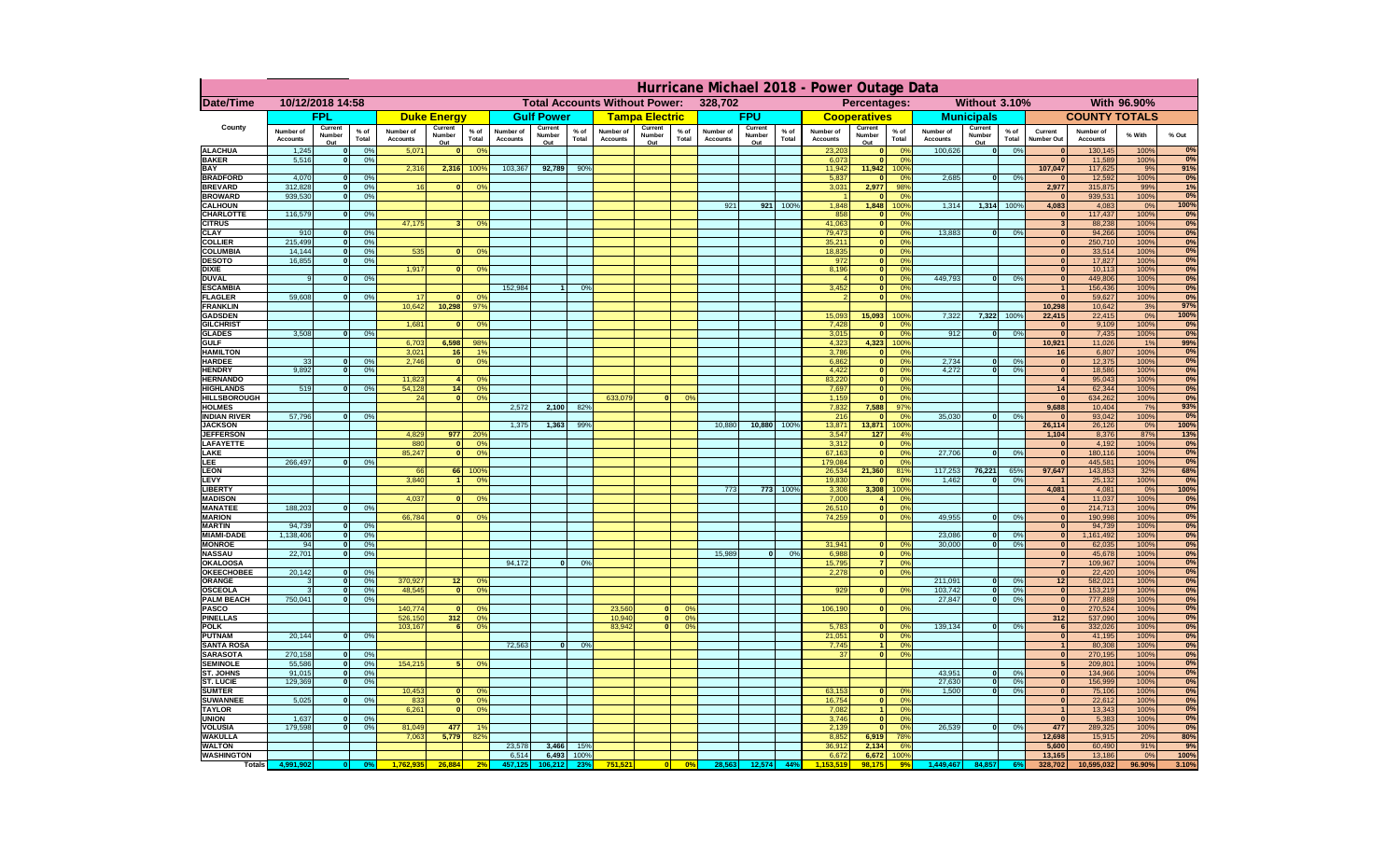|                                         |                              |                               |                      |                              |                              |                      |                       |                   |                 |                              | Hurricane Michael 2018 - Power Outage Data |                              |                   |                 |                              |                              |                        |                                                   |                       |                                         |                              |              |               |
|-----------------------------------------|------------------------------|-------------------------------|----------------------|------------------------------|------------------------------|----------------------|-----------------------|-------------------|-----------------|------------------------------|--------------------------------------------|------------------------------|-------------------|-----------------|------------------------------|------------------------------|------------------------|---------------------------------------------------|-----------------------|-----------------------------------------|------------------------------|--------------|---------------|
| Date/Time                               |                              | 10/12/2018 14:58              |                      |                              |                              |                      |                       |                   |                 |                              | <b>Total Accounts Without Power:</b>       | 328,702                      |                   |                 |                              | Percentages:                 |                        |                                                   | Without 3.10%         |                                         |                              | With 96.90%  |               |
|                                         |                              | <b>FPL</b>                    |                      |                              | <b>Duke Energy</b>           |                      |                       | <b>Gulf Power</b> |                 |                              | <b>Tampa Electric</b>                      |                              | <b>FPU</b>        |                 |                              | <b>Cooperatives</b>          |                        | <b>Municipals</b>                                 |                       |                                         | <b>COUNTY TOTALS</b>         |              |               |
| County                                  | Number of<br><b>Accounts</b> | Current<br>Number             | % of<br>Total        | Number of<br><b>Accounts</b> | Current<br>Number            | $%$ of<br>Total      | Number of<br>Accounts | Current<br>Number | $%$ of<br>Total | Number of<br><b>Accounts</b> | Current<br>$%$ of<br>Number<br>Total       | Number of<br><b>Accounts</b> | Current<br>Number | $%$ of<br>Total | Number of<br><b>Accounts</b> | Current<br>Number            | % of<br>Total          | Current<br>Number of<br>Number<br><b>Accounts</b> | $%$ of<br>Total       | Current<br>Number Out                   | Number of<br><b>Accounts</b> | % With       | % Out         |
| <b>ALACHUA</b>                          | 1,245                        | Out<br> 0                     | 0%                   | 5,071                        | Out<br>$\Omega$              | 0 <sup>9</sup>       |                       | Out               |                 |                              | Out                                        |                              | Out               |                 | 23,203                       | Out                          | 0 <sup>9</sup>         | Out<br>100,626                                    | 0%<br> 0              |                                         | 130,145                      | 100%         | 0%            |
| <b>BAKER</b>                            | 5,516                        | 0                             | 0%                   |                              |                              |                      |                       |                   |                 |                              |                                            |                              |                   |                 | 6,073                        |                              | 0%                     |                                                   |                       | $\mathbf{0}$                            | 11,589                       | 100%         | 0%            |
| BAY<br><b>BRADFORD</b>                  | 4,070                        | 0                             | 0%                   | 2,316                        | 2,316                        | 100%                 | 103,367               | 92,789            | 90%             |                              |                                            |                              |                   |                 | 11,942<br>5,837              | 11,942                       | 100%<br>0%             | 2,685                                             | 0 <br>0%              | 107,047<br>$\mathbf{0}$                 | 117,625<br>12,592            | 9%<br>100%   | 91%<br>0%     |
| <b>BREVARD</b>                          | 312,828                      | 0                             | 0%                   | 16                           |                              | 0%                   |                       |                   |                 |                              |                                            |                              |                   |                 | 3,031                        | 2,977                        | 98%                    |                                                   |                       | 2,977                                   | 315,875                      | 99%          | 1%            |
| <b>BROWARD</b><br><b>CALHOUN</b>        | 939,530                      | 0                             | 0%                   |                              |                              |                      |                       |                   |                 |                              |                                            |                              | 921<br>921        | 100%            | 1,848                        | 1,848                        | 0 <sup>9</sup><br>100% | 1,314                                             | 1,314 1009            | - 0<br>4,083                            | 939,531<br>4,083             | 100%<br>0%   | 0%<br>100%    |
| <b>CHARLOTTE</b>                        | 116,579                      | 0                             | 0%                   |                              |                              |                      |                       |                   |                 |                              |                                            |                              |                   |                 | 858                          | $\mathbf{0}$                 | 0%                     |                                                   |                       | $\mathbf{0}$                            | 117,437                      | 100%         | 0%            |
| <b>CITRUS</b>                           |                              |                               |                      | 47,175                       |                              | 0%                   |                       |                   |                 |                              |                                            |                              |                   |                 | 41,063                       | $\mathbf{0}$                 | 0%                     |                                                   |                       | $\mathbf{3}$                            | 88,238                       | 100%         | 0%<br>0%      |
| <b>CLAY</b><br><b>COLLIER</b>           | 910<br>215,499               | 0 <br> 0                      | 0%<br>0%             |                              |                              |                      |                       |                   |                 |                              |                                            |                              |                   |                 | 79,473<br>35,211             | $\bullet$<br>$\mathbf{0}$    | 0%<br>0%               | 13,883                                            | 0 <br>0%              | $\mathbf{0}$<br>$\mathbf{0}$            | 94,266<br>250,710            | 100%<br>100% | 0%            |
| COLUMBIA                                | 14,144                       | 0                             | 0%                   | 535                          | $\mathbf{0}$                 | 0%                   |                       |                   |                 |                              |                                            |                              |                   |                 | 18,835                       | $\mathbf{0}$                 | 0%                     |                                                   |                       | $\mathbf{0}$                            | 33,514                       | 100%         | 0%            |
| <b>DESOTO</b><br><b>DIXIE</b>           | 16,855                       | $\overline{0}$                | 0%                   | 1,917                        | $\Omega$                     | 0%                   |                       |                   |                 |                              |                                            |                              |                   |                 | 972<br>8,196                 | $\mathbf{0}$<br>$\bullet$    | 0%<br>0%               |                                                   |                       | $\mathbf{0}$<br>$\overline{\mathbf{0}}$ | 17,827<br>10,113             | 100%<br>100% | 0%<br>0%      |
| <b>DUVAL</b>                            | $\alpha$                     | 0                             | 0%                   |                              |                              |                      |                       |                   |                 |                              |                                            |                              |                   |                 | $\boldsymbol{\Lambda}$       | $\mathbf{0}$                 | 0%                     | 449.793                                           | 0 <br>0%              | $\mathbf{0}$                            | 449,806                      | 100%         | 0%            |
| <b>ESCAMBIA</b><br><b>FLAGLER</b>       | 59,608                       | $\overline{0}$                | 0%                   | 17                           |                              | $\Omega$             | 152.984               | -11               | 0%              |                              |                                            |                              |                   |                 | 3,452<br>$\mathcal{P}$       | $\mathbf{0}$<br>$\bullet$    | 0%<br>0%               |                                                   |                       | $\overline{1}$<br>$\mathbf{0}$          | 156,436<br>59,627            | 100%<br>100% | 0%<br>0%      |
| <b>FRANKLIN</b>                         |                              |                               |                      | 10.642                       | 10,298                       | $97^\circ$           |                       |                   |                 |                              |                                            |                              |                   |                 |                              |                              |                        |                                                   |                       | 10,298                                  | 10,642                       | 3%           | 97%           |
| <b>GADSDEN</b>                          |                              |                               |                      |                              |                              |                      |                       |                   |                 |                              |                                            |                              |                   |                 | 15,093                       | 15,093                       | 100%                   | 7,322                                             | 7,322 1009            | 22,415                                  | 22,415                       | 0%           | 100%          |
| <b>GILCHRIST</b><br><b>GLADES</b>       | 3,508                        | 0                             | 0%                   | 1,681                        | $\mathbf{r}$                 | 0%                   |                       |                   |                 |                              |                                            |                              |                   |                 | 7,428<br>3,015               | $\mathbf{0}$<br>$\mathbf{0}$ | 0%<br>0%               | 912                                               | 0 <br>0%              | $\mathbf{0}$<br>$\overline{0}$          | 9,109<br>7,435               | 100%<br>100% | 0%<br>0%      |
| <b>GULF</b>                             |                              |                               |                      | 6,703                        | 6,598                        | 98%                  |                       |                   |                 |                              |                                            |                              |                   |                 | 4,323                        | 4,323                        | 100%                   |                                                   |                       | 10,921                                  | 11,026                       | 1%           | 99%           |
| <b>HAMILTON</b><br><b>HARDEE</b>        | 33                           | 0                             | 0%                   | 3,021<br>2,746               | 16 <sup>1</sup><br> 0        | 1 <sup>9</sup><br>0% |                       |                   |                 |                              |                                            |                              |                   |                 | 3,786<br>6,862               | $\mathbf{0}$<br>$\mathbf{0}$ | 0%<br>0%               | 2,734                                             | 0 <br>0%              | 16<br>$\mathbf{0}$                      | 6,807<br>12,375              | 100%<br>100% | 0%<br>0%      |
| <b>HENDRY</b>                           | 9,892                        | 0                             | 0%                   |                              |                              |                      |                       |                   |                 |                              |                                            |                              |                   |                 | 4,422                        | $\mathbf{0}$                 | 0%                     | 4,272                                             | $\mathbf{0}$<br>0%    | $\mathbf{0}$                            | 18,586                       | 100%         | 0%            |
| <b>HERNANDO</b>                         |                              |                               |                      | 11.823                       |                              | 0%                   |                       |                   |                 |                              |                                            |                              |                   |                 | 83.220                       | $\mathbf{0}$                 | 0%                     |                                                   |                       | $\overline{4}$                          | 95.043                       | 100%         | 0%            |
| <b>HIGHLANDS</b><br><b>HILLSBOROUGH</b> | 519                          | 0                             | 0%                   | 54.128<br>24                 | 14<br>$\Omega$               | 0%<br>0%             |                       |                   |                 | 633,079                      | $\Omega$                                   | 0%                           |                   |                 | 7.697<br>1,159               | $\mathbf{0}$<br>$\mathbf{0}$ | 0%<br>0%               |                                                   |                       | 14<br>$\mathbf{0}$                      | 62,344<br>634,262            | 100%<br>100% | 0%<br>0%      |
| <b>HOLMES</b>                           |                              |                               |                      |                              |                              |                      | 2,572                 | 2,100             | 82%             |                              |                                            |                              |                   |                 | 7,832                        | 7,588                        | 97%                    |                                                   |                       | 9,688                                   | 10,404                       | 7%           | 93%           |
| <b>INDIAN RIVER</b><br><b>JACKSON</b>   | 57.796                       | 0                             | 0%                   |                              |                              |                      | 1,375                 | 1,363             | 99%             |                              |                                            | 10,880                       | 10,880            | 100%            | 216<br>13,871                | $\Omega$<br>13,871           | 0%<br>100%             | 35.030                                            | 0%<br> 0              | $\mathbf{0}$<br>26,114                  | 93.042<br>26,126             | 100%<br>0%   | 0%<br>100%    |
| <b>JEFFERSON</b>                        |                              |                               |                      | 4,829                        | 977                          | 20%                  |                       |                   |                 |                              |                                            |                              |                   |                 | 3,547                        | 127                          | 4%                     |                                                   |                       | 1,104                                   | 8,376                        | 87%          | 13%           |
| <b>LAFAYETTE</b><br>LAKE                |                              |                               |                      | 880<br>85,247                | $\mathbf{0}$<br>$\Omega$     | 0%<br>0%             |                       |                   |                 |                              |                                            |                              |                   |                 | 3,312<br>67,163              | $\mathbf{0}$<br>$\mathbf{0}$ | 0%<br>0%               | 27,706                                            | 0%<br>$\Omega$        | $\mathbf{0}$<br>$\mathbf{0}$            | 4,192<br>180,116             | 100%<br>100% | 0%<br>0%      |
| <b>LEE</b>                              | 266,497                      | $\Omega$                      | 0%                   |                              |                              |                      |                       |                   |                 |                              |                                            |                              |                   |                 | 179,084                      | $\mathbf{0}$                 | 0%                     |                                                   |                       | $\mathbf{0}$                            | 445,581                      | 100%         | 0%            |
| <b>LEON</b>                             |                              |                               |                      | 66                           | 66                           | 100%                 |                       |                   |                 |                              |                                            |                              |                   |                 | 26,534                       | 21,360                       | 81%                    | 117,253                                           | 76,221<br>65%         | 97,647                                  | 143,853                      | 32%          | 68%<br>0%     |
| LEVY<br><b>LIBERTY</b>                  |                              |                               |                      | 3,840                        | $\mathbf{1}$                 | 0%                   |                       |                   |                 |                              |                                            |                              | 773               | 773 100%        | 19,830<br>3,308              | $\mathbf{0}$<br>3,308        | 0%<br>100%             | 1,462                                             | 0%<br>$\Omega$        | $\overline{1}$<br>4,081                 | 25,132<br>4,081              | 100%<br>0%   | 100%          |
| <b>MADISON</b>                          |                              |                               |                      | 4,037                        | $\Omega$                     | 0%                   |                       |                   |                 |                              |                                            |                              |                   |                 | 7,000                        | $\overline{4}$               | 0%                     |                                                   |                       | $\overline{4}$                          | 11,037                       | 100%         | 0%            |
| <b>MANATEE</b><br><b>MARION</b>         | 188,203                      | 0                             | 0%                   | 66,784                       | $\Omega$                     | 0%                   |                       |                   |                 |                              |                                            |                              |                   |                 | 26,510<br>74,259             | $\bullet$<br>$\mathbf{0}$    | 0%<br>0%               | 49,955                                            | 0 <br>0%              | $\mathbf{0}$<br>$\mathbf{0}$            | 214,713<br>190,998           | 100%<br>100% | 0%<br>0%      |
| <b>MARTIN</b>                           | 94,739                       | 0                             | 0%                   |                              |                              |                      |                       |                   |                 |                              |                                            |                              |                   |                 |                              |                              |                        |                                                   |                       | $\mathbf{0}$                            | 94,739                       | 100%         | 0%            |
| <b>MIAMI-DADE</b><br><b>MONROE</b>      | 1,138,406<br>94              | 0 <br>$\overline{\mathbf{0}}$ | 0%<br>0%             |                              |                              |                      |                       |                   |                 |                              |                                            |                              |                   |                 | 31,941                       | $\Omega$                     | 0%                     | 23,086<br>30,000                                  | 0 <br>0%<br> 0 <br>0% | 0 <br>$\bullet$                         | 1,161,492<br>62,035          | 100%<br>100% | 0%<br>0%      |
| <b>NASSAU</b>                           | 22,701                       | 0                             | 0%                   |                              |                              |                      |                       |                   |                 |                              |                                            | 15,989                       |                   | 0%<br> 0        | 6,988                        | 0                            | 0%                     |                                                   |                       | $\mathbf{0}$                            | 45,678                       | 100%         | 0%            |
| OKALOOSA                                |                              |                               |                      |                              |                              |                      | 94,172                | 0                 | 0%              |                              |                                            |                              |                   |                 | 15,795                       | $\overline{7}$               | 0%                     |                                                   |                       | $\overline{7}$                          | 109,967                      | 100%         | 0%            |
| <b>OKEECHOBEE</b><br>ORANGE             | 20,142                       | 0 <br> 0                      | 0%<br>0%             | 370,927                      | 12                           | 0 <sup>o</sup>       |                       |                   |                 |                              |                                            |                              |                   |                 | 2,278                        | 0                            | 0%                     | 211,091                                           | 0%<br> 0              | $\mathbf{0}$<br>12                      | 22,420<br>582,021            | 100%<br>100% | 0%<br>0%      |
| <b>OSCEOLA</b>                          |                              | 0                             | 0%                   | 48,545                       | $\mathbf{0}$                 | 0 <sup>o</sup>       |                       |                   |                 |                              |                                            |                              |                   |                 | 929                          | $\Omega$                     | 0%                     | 103,742                                           | 0 <br>0%              | $\bullet$                               | 153,219                      | 100%         | 0%            |
| <b>PALM BEACH</b><br>PASCO              | 750,041                      | 0                             | 0%                   | 140,774                      | $\Omega$                     | 0%                   |                       |                   |                 | 23,560                       | 0                                          | $\Omega$ <sup>o</sup>        |                   |                 | 106,190                      | 0                            | 0%                     | 27,847                                            | 0 <br>0%              | $\mathbf{0}$<br>$\bullet$               | 777,888<br>270,524           | 100%<br>100% | 0%<br>0%      |
| <b>PINELLAS</b>                         |                              |                               |                      | 526,150                      | 312                          | 0 <sup>9</sup>       |                       |                   |                 | 10,940                       | 0                                          | 0 <sup>9</sup>               |                   |                 |                              |                              |                        |                                                   |                       | 312                                     | 537,090                      | 100%         | 0%            |
| <b>POLK</b>                             | 20,144                       |                               | 0%                   | 103,167                      | 6                            | 0 <sup>o</sup>       |                       |                   |                 | 83,942                       | $\overline{0}$                             | 0 <sup>o</sup>               |                   |                 | 5,783<br>21,051              | $\mathbf{0}$<br>$\mathbf{0}$ | 0%<br>0%               | 139,134                                           | 0 <br>0%              | $6\phantom{.}6$                         | 332,026                      | 100%         | 0%<br>0%      |
| <b>PUTNAM</b><br><b>SANTA ROSA</b>      |                              |                               | 0                    |                              |                              |                      | 72,563                | $\mathbf{0}$      | 0%              |                              |                                            |                              |                   |                 | 7,745                        | $\blacktriangleleft$         | 0%                     |                                                   |                       | $\mathbf{0}$<br>$\overline{1}$          | 41,195<br>80,308             | 100%<br>100% | 0%            |
| <b>SARASOTA</b>                         | 270,158                      | 0                             | 0%                   |                              |                              |                      |                       |                   |                 |                              |                                            |                              |                   |                 | 37                           | 0                            | 0%                     |                                                   |                       | $\mathbf{0}$                            | 270,195                      | 100%         | 0%            |
| <b>SEMINOLE</b><br><b>ST. JOHNS</b>     | 55.586<br>91,015             | 0 <br> 0                      | 0%<br>0%             | 154,215                      | 5                            | 0%                   |                       |                   |                 |                              |                                            |                              |                   |                 |                              |                              |                        | 43,951                                            | 0%<br> 0              | $5\overline{5}$<br>$\mathbf{0}$         | 209,801<br>134,966           | 100%<br>100% | 0%<br>0%      |
| <b>ST. LUCIE</b>                        | 129,369                      |                               | 0 <br>0%             |                              |                              |                      |                       |                   |                 |                              |                                            |                              |                   |                 |                              |                              |                        | 27,630                                            | 0 <br>0%              | $\overline{\mathbf{0}}$                 | 156,999                      | 100%         | 0%            |
| <b>SUMTER</b><br><b>SUWANNEE</b>        | 5,025                        |                               | 0 <br>0%             | 10,453                       | $\mathbf{0}$<br>$\mathbf{0}$ | 0 <sup>o</sup><br>0% |                       |                   |                 |                              |                                            |                              |                   |                 | 63,153<br>16,754             | $\mathbf{0}$<br>$\mathbf{0}$ | 0%<br>0%               | 1.500                                             | $\mathbf{0}$<br>0%    | $\mathbf{0}$<br>$\mathbf{0}$            | 75,106                       | 100%<br>100% | 0%            |
| <b>TAYLOR</b>                           |                              |                               |                      | 833<br>6,261                 | $\mathbf{0}$                 | 0%                   |                       |                   |                 |                              |                                            |                              |                   |                 | 7,082                        |                              | 0%                     |                                                   |                       | $\overline{1}$                          | 22,612<br>13,343             | 100%         | 0%<br>0%      |
| <b>UNION</b>                            | 1,637                        | 0                             | 0%                   |                              |                              |                      |                       |                   |                 |                              |                                            |                              |                   |                 | 3,746                        | $\mathbf{0}$                 | 0%                     |                                                   |                       | $\pmb{\mathsf{o}}$                      | 5,383                        | 100%         | 0%            |
| <b>VOLUSIA</b><br><b>WAKULLA</b>        | 179,598                      | 0                             | 0%                   | 81,049<br>7,063              | 477<br>5,779                 | 82%                  |                       |                   |                 |                              |                                            |                              |                   |                 | 2,139<br>8,852               | 6,919                        | 0%<br>78%              | 26,539                                            | 0 <br>0%              | 477<br>12,698                           | 289,325<br>15,915            | 100%<br>20%  | 0%<br>80%     |
| <b>WALTON</b>                           |                              |                               |                      |                              |                              |                      | 23,578                | 3,466             | 15%             |                              |                                            |                              |                   |                 | 36,912                       | 2,134                        | 6%                     |                                                   |                       | 5,600                                   | 60,490                       | 91%          | 9%            |
| <b>WASHINGTON</b>                       |                              |                               |                      |                              | 26,884                       |                      | 6,514                 | 6,493             | 100%<br>23%     | 751,521                      | $\bullet$                                  | 28,563<br>0%                 | 12,574            | 44%             | 6,672<br>1 153 519           | 6,672<br>98,175              | 100%                   | 1,449,467                                         | 84,857                | 13,165<br>328,702                       | 13,186                       | 0%<br>96.90% | 100%<br>3.10% |
| <b>Totals</b>                           | 4,991,902                    |                               | 0 <br>0 <sup>9</sup> | 1,762,93                     |                              |                      | 457,125               | 106,212           |                 |                              |                                            |                              |                   |                 |                              |                              |                        |                                                   | 6%                    |                                         | 10,595,032                   |              |               |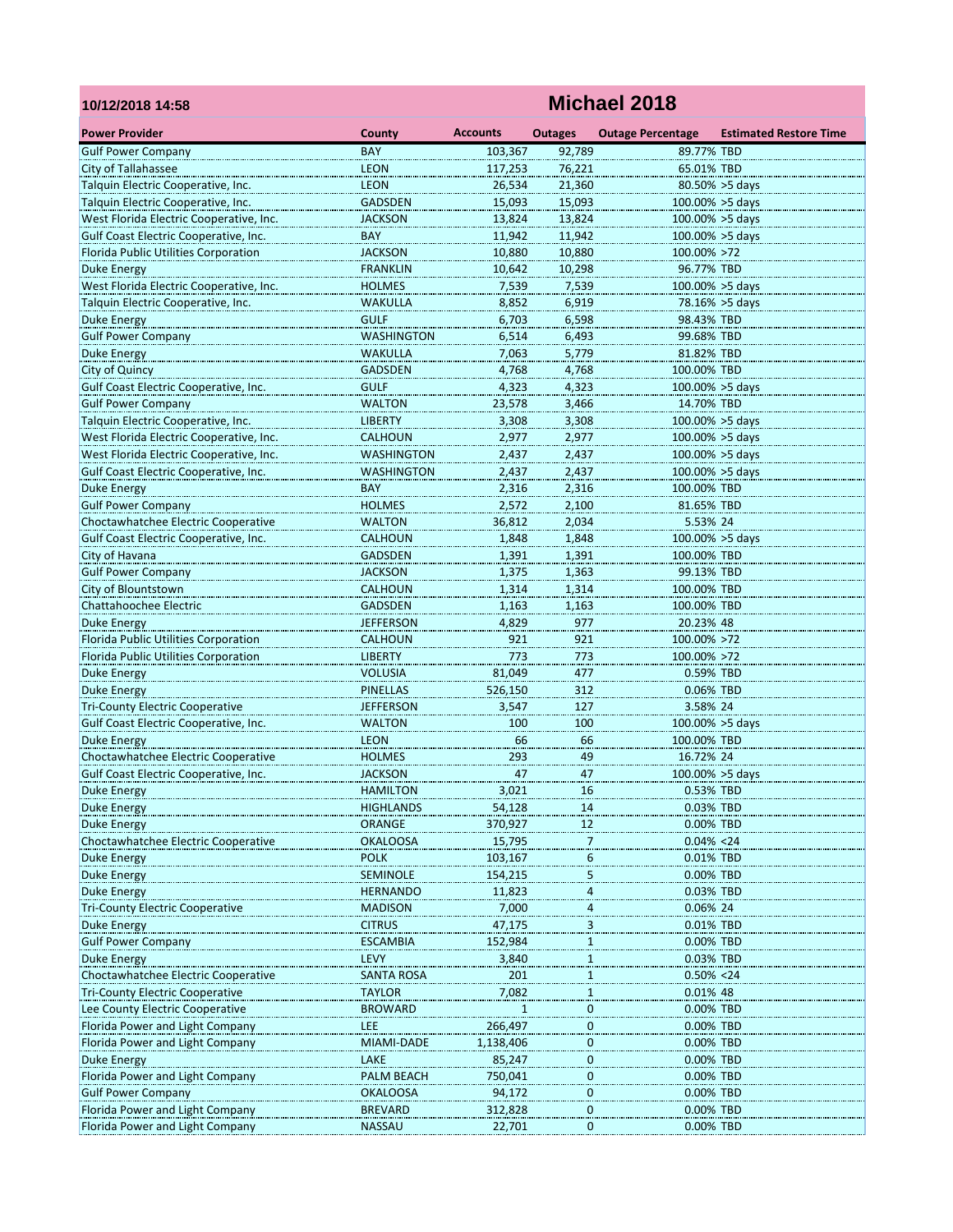| 10/12/2018 14:58                        | Michael 2018                     |                 |                          |                          |                               |  |  |  |  |
|-----------------------------------------|----------------------------------|-----------------|--------------------------|--------------------------|-------------------------------|--|--|--|--|
| <b>Power Provider</b>                   | County                           | <b>Accounts</b> | <b>Outages</b>           | <b>Outage Percentage</b> | <b>Estimated Restore Time</b> |  |  |  |  |
| <b>Gulf Power Company</b>               | <b>BAY</b>                       | 103,367         | 92,789                   | 89.77% TBD               |                               |  |  |  |  |
| City of Tallahassee                     | <b>LEON</b>                      | 117,253         | 76.221                   | 65.01% TBD               |                               |  |  |  |  |
| Talquin Electric Cooperative, Inc.      | <b>LEON</b>                      | 26,534          | 21,360                   |                          | $80.50\% > 5$ days            |  |  |  |  |
| Talquin Electric Cooperative, Inc.      | <b>GADSDEN</b>                   | 15,093          | 15,093                   |                          | $100.00\% > 5$ days           |  |  |  |  |
| West Florida Electric Cooperative, Inc. | <b>JACKSON</b>                   | 13,824          | 13,824                   | 100.00% > 5days          |                               |  |  |  |  |
| Gulf Coast Electric Cooperative, Inc.   | <b>BAY</b>                       | 11,942          | 11,942                   | 100.00% > 5days          |                               |  |  |  |  |
| Florida Public Utilities Corporation    | <b>JACKSON</b>                   | 10,880          | 10,880                   | 100.00% >72              |                               |  |  |  |  |
| Duke Energy                             | <b>FRANKLIN</b>                  | 10,642          | 10,298                   | 96.77% TBD               |                               |  |  |  |  |
| West Florida Electric Cooperative, Inc. | <b>HOLMES</b>                    | 7,539           | 7,539                    | $100.00\% > 5$ days      |                               |  |  |  |  |
| Talquin Electric Cooperative, Inc.      | <b>WAKULLA</b>                   | 8,852           | 6,919                    |                          | 78.16% > 5days                |  |  |  |  |
| Duke Energy                             | <b>GULF</b>                      | 6,703           | 6,598                    | 98.43% TBD               |                               |  |  |  |  |
| <b>Gulf Power Company</b>               | <b>WASHINGTON</b>                | 6,514           | 6,493                    | 99.68% TBD               |                               |  |  |  |  |
| Duke Energy                             | <b>WAKULLA</b>                   | 7,063           | 5,779                    | 81.82% TBD               |                               |  |  |  |  |
| City of Quincy                          | <b>GADSDEN</b>                   | 4,768           | 4,768                    | 100.00% TBD              |                               |  |  |  |  |
| Gulf Coast Electric Cooperative, Inc.   | <b>GULF</b>                      | 4,323           | 4,323                    | 100.00% > 5 days         |                               |  |  |  |  |
| <b>Gulf Power Company</b>               | <b>WALTON</b>                    | 23,578          | 3,466                    | 14.70% TBD               |                               |  |  |  |  |
| Talquin Electric Cooperative, Inc.      | <b>LIBERTY</b>                   | 3,308           | 3,308                    | 100.00% > 5 days         |                               |  |  |  |  |
| West Florida Electric Cooperative, Inc. | <b>CALHOUN</b>                   | 2,977           | 2,977                    | $100.00\% > 5$ days      |                               |  |  |  |  |
| West Florida Electric Cooperative, Inc. | <b>WASHINGTON</b>                | 2,437           | 2,437                    | $100.00\% > 5$ days      |                               |  |  |  |  |
| Gulf Coast Electric Cooperative, Inc.   | <b>WASHINGTON</b>                | 2,437           | 2,437                    | $100.00\% > 5$ days      |                               |  |  |  |  |
| Duke Energy                             | <b>BAY</b>                       | 2,316           | 2,316                    | 100.00% TBD              |                               |  |  |  |  |
| <b>Gulf Power Company</b>               | <b>HOLMES</b>                    | 2,572           | 2,100                    | 81.65% TBD               |                               |  |  |  |  |
| Choctawhatchee Electric Cooperative     | <b>WALTON</b>                    | 36,812          | 2,034                    | 5.53% 24                 |                               |  |  |  |  |
| Gulf Coast Electric Cooperative, Inc.   | <b>CALHOUN</b>                   | 1,848           | 1,848                    |                          | 100.00% > 5days               |  |  |  |  |
| City of Havana                          | <b>GADSDEN</b>                   | 1,391           | 1,391                    | 100.00% TBD              |                               |  |  |  |  |
| <b>Gulf Power Company</b>               |                                  | 1,375           | 1,363                    | 99.13% TBD               |                               |  |  |  |  |
| City of Blountstown                     | <b>JACKSON</b><br><b>CALHOUN</b> | 1,314           | 1,314                    | 100.00% TBD              |                               |  |  |  |  |
| Chattahoochee Electric                  | <b>GADSDEN</b>                   | 1,163           | 1,163                    | 100.00% TBD              |                               |  |  |  |  |
|                                         |                                  |                 |                          |                          |                               |  |  |  |  |
| Duke Energy                             | <b>JEFFERSON</b>                 | 4,829           | 977                      | 20.23% 48                |                               |  |  |  |  |
| Florida Public Utilities Corporation    | <b>CALHOUN</b>                   | 921             | 921                      | 100.00% >72              |                               |  |  |  |  |
| Florida Public Utilities Corporation    | <b>LIBERTY</b>                   | 773             | 773                      | 100.00% >72              |                               |  |  |  |  |
| <b>Duke Energy</b>                      | <b>VOLUSIA</b>                   | 81,049          | 477                      | 0.59% TBD                |                               |  |  |  |  |
| <b>Duke Energy</b>                      | <b>PINELLAS</b>                  | 526,150         | 312                      | 0.06% TBD                |                               |  |  |  |  |
| <b>Tri-County Electric Cooperative</b>  | <b>JEFFERSON</b>                 | 3,547           | 127                      | 3.58% 24                 |                               |  |  |  |  |
| Gulf Coast Electric Cooperative, Inc.   | <b>WALTON</b>                    | 100             | 100                      | $100.00\% > 5$ days      |                               |  |  |  |  |
| Duke Energy                             | <b>LEON</b>                      | 66              | 66                       | 100.00% TBD              |                               |  |  |  |  |
| Choctawhatchee Electric Cooperative     | <b>HOLMES</b>                    | 293             | 49                       | 16.72% 24                |                               |  |  |  |  |
| Gulf Coast Electric Cooperative, Inc.   | <b>JACKSON</b>                   | 47              | 47                       | 100.00% > 5days          |                               |  |  |  |  |
| <b>Duke Energy</b>                      | HAMILTON                         | 3,021           | 16                       | 0.53% TBD                |                               |  |  |  |  |
| Duke Energy                             | HIGHLANDS                        | 54,128          | 14                       | 0.03% TBD                |                               |  |  |  |  |
| Duke Energy                             | ORANGE                           | 370,927         | 12                       | 0.00% TBD                |                               |  |  |  |  |
| Choctawhatchee Electric Cooperative     | <b>OKALOOSA</b>                  | 15,795          | $\overline{\phantom{a}}$ | $0.04\% < 24$            |                               |  |  |  |  |
| Duke Energy                             | <b>POLK</b>                      | 103,167         | $\overline{6}$           | 0.01% TBD                |                               |  |  |  |  |
| Duke Energy                             | <b>SEMINOLE</b>                  | 154,215         | $\overline{5}$           | 0.00% TBD                |                               |  |  |  |  |
| <b>Duke Energy</b>                      | <b>HERNANDO</b>                  | 11,823          | 4                        | 0.03% TBD                |                               |  |  |  |  |
| <b>Tri-County Electric Cooperative</b>  | <b>MADISON</b>                   | 7,000           | 4                        | 0.06% 24                 |                               |  |  |  |  |
| Duke Energy                             | <b>CITRUS</b>                    | 47,175          | 3                        | 0.01% TBD                |                               |  |  |  |  |
| <b>Gulf Power Company</b>               | <b>ESCAMBIA</b>                  | 152,984         | $\mathbf{1}$             | 0.00% TBD                |                               |  |  |  |  |
| Duke Energy                             | LEVY                             | 3,840           | 1                        | 0.03% TBD                |                               |  |  |  |  |
| Choctawhatchee Electric Cooperative     | <b>SANTA ROSA</b>                | 201             | 1                        | $0.50\% < 24$            |                               |  |  |  |  |
| <b>Tri-County Electric Cooperative</b>  | TAYLOR                           | 7,082           | 1                        | 0.01% 48                 |                               |  |  |  |  |
| Lee County Electric Cooperative         | <b>BROWARD</b>                   | 1               | 0                        | 0.00% TBD                |                               |  |  |  |  |
| Florida Power and Light Company         | LEE                              | 266,497         | $\mathbf 0$              | 0.00% TBD                |                               |  |  |  |  |
| Florida Power and Light Company         | MIAMI-DADE                       | 1,138,406       | 0                        | 0.00% TBD                |                               |  |  |  |  |
| Duke Energy                             | LAKE                             | 85,247          | $\boldsymbol{0}$         | 0.00% TBD                |                               |  |  |  |  |
| Florida Power and Light Company         | PALM BEACH                       | 750,041         | $\boldsymbol{0}$         | 0.00% TBD                |                               |  |  |  |  |
| <b>Gulf Power Company</b>               | <b>OKALOOSA</b>                  | 94,172          | $\bf{0}$                 | 0.00% TBD                |                               |  |  |  |  |
| Florida Power and Light Company         | <b>BREVARD</b>                   | 312,828         | $\mathbf 0$              | 0.00% TBD                |                               |  |  |  |  |
| Florida Power and Light Company         | <b>NASSAU</b>                    | 22,701          | 0                        | 0.00% TBD                |                               |  |  |  |  |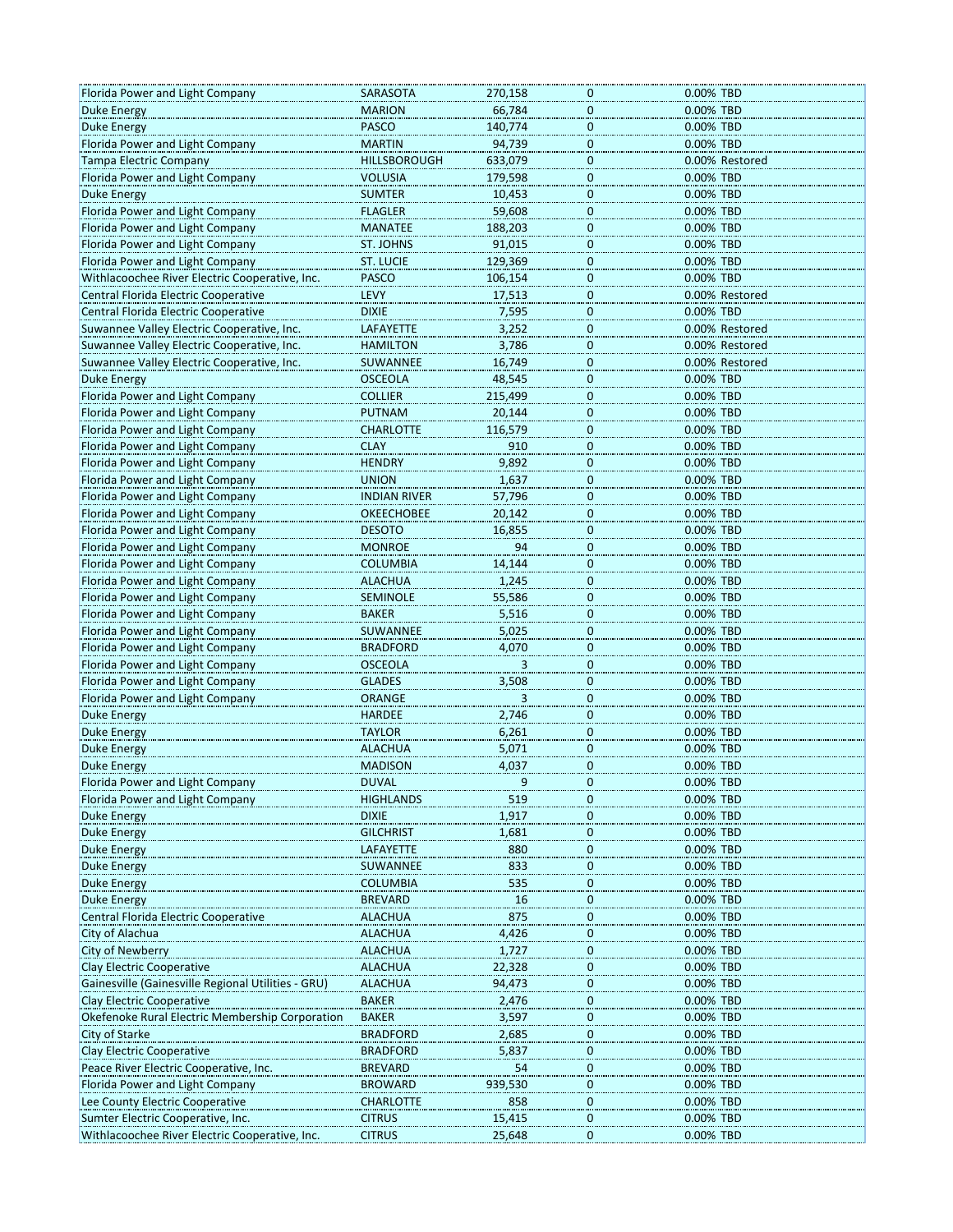| Florida Power and Light Company                    | SARASOTA            | 270,158 | 0                           | 0.00% TBD      |
|----------------------------------------------------|---------------------|---------|-----------------------------|----------------|
| <b>Duke Energy</b>                                 | <b>MARION</b>       | 66,784  | $\mathbf{0}$                | 0.00% TBD      |
| <b>Duke Energy</b>                                 | PASCO               | 140,774 | $\pmb{0}$                   | 0.00% TBD      |
| Florida Power and Light Company                    | <b>MARTIN</b>       | 94,739  | $\overline{0}$              | 0.00% TBD      |
| Tampa Electric Company                             | <b>HILLSBOROUGH</b> | 633,079 | 0                           | 0.00% Restored |
| Florida Power and Light Company                    | VOLUSIA             | 179,598 | $\overline{0}$              | 0.00% TBD      |
| <b>Duke Energy</b>                                 | <b>SUMTER</b>       | 10,453  | $\overline{0}$              | 0.00% TBD      |
| Florida Power and Light Company                    | <b>FLAGLER</b>      | 59,608  | $\pmb{0}$                   | 0.00% TBD      |
| Florida Power and Light Company                    | <b>MANATEE</b>      | 188,203 | $\bf{0}$                    | 0.00% TBD      |
| Florida Power and Light Company                    | ST. JOHNS           | 91,015  | $\boldsymbol{0}$            | 0.00% TBD      |
| Florida Power and Light Company                    | <b>ST. LUCIE</b>    | 129,369 |                             | 0.00% TBD      |
| Withlacoochee River Electric Cooperative, Inc.     | <b>PASCO</b>        | 106,154 | $\overline{0}$              | 0.00% TBD      |
| Central Florida Electric Cooperative               | <b>LEVY</b>         | 17,513  | $\overline{0}$<br>$\pmb{0}$ | 0.00% Restored |
| Central Florida Electric Cooperative               | <b>DIXIE</b>        | 7,595   | 0                           | 0.00% TBD      |
| Suwannee Valley Electric Cooperative, Inc.         |                     |         | 0                           |                |
|                                                    | LAFAYETTE           | 3,252   |                             | 0.00% Restored |
| Suwannee Valley Electric Cooperative, Inc.         | <b>HAMILTON</b>     | 3,786   | $\overline{0}$              | 0.00% Restored |
| Suwannee Valley Electric Cooperative, Inc.         | SUWANNEE            | 16,749  | $\overline{0}$              | 0.00% Restored |
| Duke Energy                                        | <b>OSCEOLA</b>      | 48,545  | $\pmb{0}$                   | 0.00% TBD      |
| Florida Power and Light Company                    | <b>COLLIER</b>      | 215,499 | 0                           | 0.00% TBD      |
| Florida Power and Light Company                    | <b>PUTNAM</b>       | 20,144  | $\mathbf{0}$                | 0.00% TBD      |
| Florida Power and Light Company                    | <b>CHARLOTTE</b>    | 116,579 | $\overline{0}$              | 0.00% TBD      |
| Florida Power and Light Company                    | <b>CLAY</b>         | 910     | $\boldsymbol{0}$            | 0.00% TBD      |
| Florida Power and Light Company                    | <b>HENDRY</b>       | 9,892   | $\pmb{0}$                   | 0.00% TBD      |
| Florida Power and Light Company                    | <b>UNION</b>        | 1,637   | $\pmb{0}$                   | 0.00% TBD      |
| Florida Power and Light Company                    | <b>INDIAN RIVER</b> | 57,796  | 0                           | 0.00% TBD      |
| Florida Power and Light Company                    | <b>OKEECHOBEE</b>   | 20,142  | $\overline{0}$              | 0.00% TBD      |
| Florida Power and Light Company                    | <b>DESOTO</b>       | 16,855  | $\boldsymbol{0}$            | 0.00% TBD      |
| Florida Power and Light Company                    | <b>MONROE</b>       | 94      | $\pmb{0}$                   | 0.00% TBD      |
| Florida Power and Light Company                    | <b>COLUMBIA</b>     | 14,144  | $\pmb{0}$                   | 0.00% TBD      |
| Florida Power and Light Company                    | <b>ALACHUA</b>      | 1,245   | $\boldsymbol{0}$            | 0.00% TBD      |
| Florida Power and Light Company                    | <b>SEMINOLE</b>     | 55,586  | $\overline{0}$              | 0.00% TBD      |
| Florida Power and Light Company                    | <b>BAKER</b>        | 5,516   | $\boldsymbol{0}$            | 0.00% TBD      |
| Florida Power and Light Company                    | SUWANNEE            | 5,025   | $\pmb{0}$                   | 0.00% TBD      |
| Florida Power and Light Company                    | <b>BRADFORD</b>     | 4,070   | $\overline{0}$              | 0.00% TBD      |
| Florida Power and Light Company                    | <b>OSCEOLA</b>      | 3       | 0                           | 0.00% TBD      |
| Florida Power and Light Company                    | <b>GLADES</b>       | 3,508   | $\mathbf{0}$                | 0.00% TBD      |
| Florida Power and Light Company                    | ORANGE              |         | $\overline{0}$              | 0.00% TBD      |
| Duke Energy                                        | <b>HARDEE</b>       | 2,746   | $\pmb{0}$                   | 0.00% TBD      |
| <b>Duke Energy</b>                                 | <b>TAYLOR</b>       | 6,261   | $\bf{0}$                    | 0.00% TBD      |
| <b>Duke Energy</b>                                 | <b>ALACHUA</b>      | 5,071   | $\bf{0}$                    | 0.00% TBD      |
| Duke Energy                                        | <b>MADISON</b>      | 4,037   | $\overline{0}$              | 0.00% TBD      |
| Florida Power and Light Company                    | <b>DUVAL</b>        |         |                             | 0.00% TBD      |
| Florida Power and Light Company                    | <b>HIGHLANDS</b>    | 519     | 0                           | 0.00% TBD      |
| Duke Energy                                        | <b>DIXIE</b>        | 1,917   | 0                           | 0.00% TBD      |
| Duke Energy                                        | <b>GILCHRIST</b>    | 1,681   | $\overline{0}$              | 0.00% TBD      |
| Duke Energy                                        | LAFAYETTE           | 880     | $\boldsymbol{0}$            | 0.00% TBD      |
| Duke Energy                                        | SUWANNEE            | 833     | 0                           | 0.00% TBD      |
| Duke Energy                                        | <b>COLUMBIA</b>     | 535     | $\boldsymbol{0}$            | 0.00% TBD      |
| Duke Energy                                        | <b>BREVARD</b>      | 16      | $\boldsymbol{0}$            | 0.00% TBD      |
| Central Florida Electric Cooperative               | <b>ALACHUA</b>      | 875     | 0                           | 0.00% TBD      |
| City of Alachua                                    | <b>ALACHUA</b>      | 4,426   |                             | 0.00% TBD      |
| <b>City of Newberry</b>                            | <b>ALACHUA</b>      | 1,727   | $\overline{0}$<br>0         | 0.00% TBD      |
| Clay Electric Cooperative                          | <b>ALACHUA</b>      | 22,328  | $\pmb{0}$                   | 0.00% TBD      |
|                                                    |                     |         |                             |                |
| Gainesville (Gainesville Regional Utilities - GRU) | <b>ALACHUA</b>      | 94,473  | $\overline{0}$              | 0.00% TBD      |
| Clay Electric Cooperative                          | <b>BAKER</b>        | 2,476   | 0                           | 0.00% TBD      |
| Okefenoke Rural Electric Membership Corporation    | <b>BAKER</b>        | 3,597   | $\overline{0}$              | 0.00% TBD      |
| City of Starke                                     | <b>BRADFORD</b>     | 2,685   | $\overline{0}$              | 0.00% TBD      |
| Clay Electric Cooperative                          | <b>BRADFORD</b>     | 5,837   | $\mathbf 0$                 | 0.00% TBD      |
| Peace River Electric Cooperative, Inc.             | <b>BREVARD</b>      | 54      | $\bf{0}$                    | 0.00% TBD      |
| Florida Power and Light Company                    | <b>BROWARD</b>      | 939,530 | $\mathbf 0$                 | 0.00% TBD      |
| Lee County Electric Cooperative                    | <b>CHARLOTTE</b>    | 858     | $\overline{0}$              | 0.00% TBD      |
| Sumter Electric Cooperative, Inc.                  | <b>CITRUS</b>       | 15,415  | 0                           | 0.00% TBD      |
| Withlacoochee River Electric Cooperative, Inc.     | <b>CITRUS</b>       | 25,648  | $\mathbf 0$                 | 0.00% TBD      |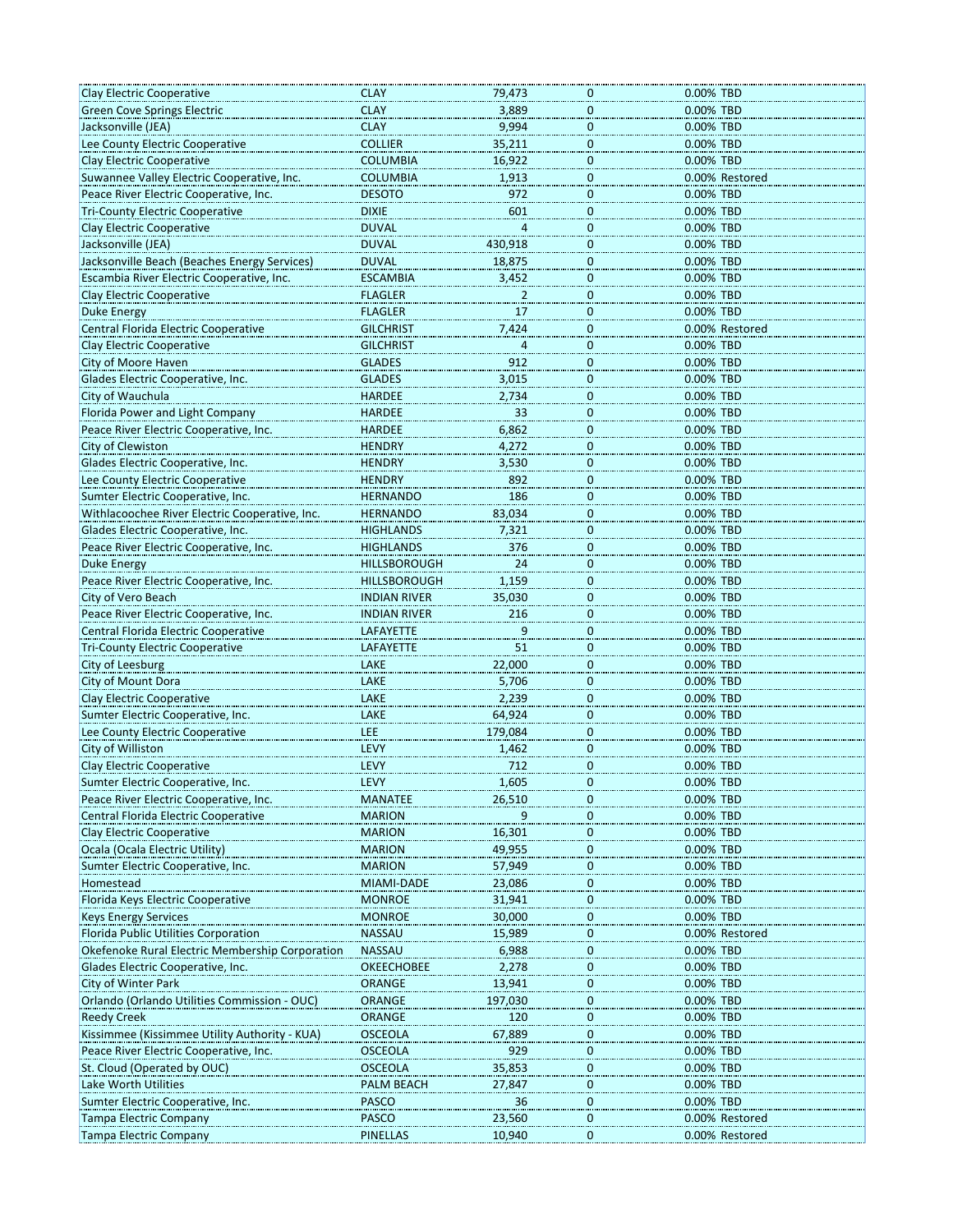| Clay Electric Cooperative                               | <b>CLAY</b>              | 79,473           | 0                | 0.00% TBD                        |
|---------------------------------------------------------|--------------------------|------------------|------------------|----------------------------------|
|                                                         | <b>CLAY</b>              |                  | $\mathbf 0$      |                                  |
| <b>Green Cove Springs Electric</b>                      |                          | 3,889            |                  | 0.00% TBD                        |
| Jacksonville (JEA)                                      | <b>CLAY</b>              | 9,994            | $\overline{0}$   | 0.00% TBD                        |
| Lee County Electric Cooperative                         | <b>COLLIER</b>           | 35,211           | $\mathbf 0$      | 0.00% TBD                        |
| <b>Clay Electric Cooperative</b>                        | <b>COLUMBIA</b>          | 16,922           | $\overline{0}$   | 0.00% TBD                        |
| Suwannee Valley Electric Cooperative, Inc.              | <b>COLUMBIA</b>          | 1,913            | $\mathbf 0$      | 0.00% Restored                   |
| Peace River Electric Cooperative, Inc.                  | <b>DESOTO</b>            | 972              | $\mathbf 0$      | 0.00% TBD                        |
| <b>Tri-County Electric Cooperative</b>                  | <b>DIXIE</b>             | 601              | $\mathbf 0$      | 0.00% TBD                        |
| Clay Electric Cooperative                               | <b>DUVAL</b>             | $\overline{a}$   | $\mathbf 0$      | 0.00% TBD                        |
| Jacksonville (JEA)                                      | <b>DUVAL</b>             | 430,918          |                  | 0.00% TBD                        |
|                                                         |                          |                  | $\overline{0}$   |                                  |
| Jacksonville Beach (Beaches Energy Services)            | <b>DUVAL</b>             | 18,875           | $\boldsymbol{0}$ | 0.00% TBD                        |
| Escambia River Electric Cooperative, Inc.               | <b>ESCAMBIA</b>          | 3,452            | $\bf{0}$         | 0.00% TBD                        |
| <b>Clay Electric Cooperative</b>                        | <b>FLAGLER</b>           | $\overline{z}$   | $\overline{0}$   | 0.00% TBD                        |
| <b>Duke Energy</b>                                      | <b>FLAGLER</b>           | 17               | $\mathbf 0$      | 0.00% TBD                        |
| Central Florida Electric Cooperative                    | <b>GILCHRIST</b>         | 7,424            | $\overline{0}$   | 0.00% Restored                   |
| Clay Electric Cooperative                               | <b>GILCHRIST</b>         | 4                | $\overline{0}$   | 0.00% TBD                        |
| City of Moore Haven                                     | <b>GLADES</b>            | 912              | $\overline{0}$   | 0.00% TBD                        |
| Glades Electric Cooperative, Inc.                       | <b>GLADES</b>            | 3,015            | $\overline{0}$   | 0.00% TBD                        |
| City of Wauchula                                        | <b>HARDEE</b>            | 2,734            | $\mathbf 0$      | 0.00% TBD                        |
|                                                         |                          |                  |                  |                                  |
| Florida Power and Light Company                         | <b>HARDEE</b>            | 33               | $\overline{0}$   | 0.00% TBD                        |
| Peace River Electric Cooperative, Inc.                  | <b>HARDEE</b>            | 6,862            | $\bf{0}$         | 0.00% TBD                        |
| City of Clewiston                                       | <b>HENDRY</b>            | 4,272            | $\overline{0}$   | 0.00% TBD                        |
| Glades Electric Cooperative, Inc.                       | <b>HENDRY</b>            | 3,530            | $\overline{0}$   | 0.00% TBD                        |
| Lee County Electric Cooperative                         | <b>HENDRY</b>            | 892              | $\mathbf 0$      | 0.00% TBD                        |
| Sumter Electric Cooperative, Inc.                       | <b>HERNANDO</b>          | 186              | 0                | 0.00% TBD                        |
| Withlacoochee River Electric Cooperative, Inc.          | <b>HERNANDO</b>          | 83,034           |                  | 0.00% TBD                        |
|                                                         |                          |                  | $\overline{0}$   |                                  |
| Glades Electric Cooperative, Inc.                       | <b>HIGHLANDS</b>         | 7,321            | $\overline{0}$   | 0.00% TBD                        |
| Peace River Electric Cooperative, Inc.                  | <b>HIGHLANDS</b>         | 376              | $\mathbf 0$      | 0.00% TBD                        |
| Duke Energy                                             | <b>HILLSBOROUGH</b>      | 24               | $\mathbf 0$      | 0.00% TBD                        |
| Peace River Electric Cooperative, Inc.                  | <b>HILLSBOROUGH</b>      | 1,159            | 0                | 0.00% TBD                        |
| City of Vero Beach                                      | <b>INDIAN RIVER</b>      | 35,030           | $\overline{0}$   | 0.00% TBD                        |
| Peace River Electric Cooperative, Inc.                  | <b>INDIAN RIVER</b>      | 216              | $\overline{0}$   | 0.00% TBD                        |
| Central Florida Electric Cooperative                    | LAFAYETTE                | 9                | $\bf{0}$         | 0.00% TBD                        |
| <b>Tri-County Electric Cooperative</b>                  | <b>LAFAYETTE</b>         | 51               | $\pmb{0}$        | 0.00% TBD                        |
| City of Leesburg                                        | LAKE                     | 22,000           |                  | 0.00% TBD                        |
|                                                         |                          |                  | $\overline{0}$   |                                  |
| City of Mount Dora                                      | LAKE                     | 5,706            | 0                | 0.00% TBD                        |
| <b>Clay Electric Cooperative</b>                        | LAKE                     | 2,239            | $\overline{0}$   | 0.00% TBD                        |
| Sumter Electric Cooperative, Inc.                       | LAKE                     | 64,924           | $\overline{0}$   | 0.00% TBD                        |
| Lee County Electric Cooperative                         | LEE                      | 179,084          | $\mathbf 0$      | 0.00% TBD                        |
| City of Williston                                       | LEVY                     | 1,462            | $\overline{0}$   | 0.00% TBD                        |
| <b>Clay Electric Cooperative</b>                        | LEVY                     | 712              | 0                | 0.00% TBD                        |
| Sumter Electric Cooperative, Inc.                       | <b>LEVY</b>              | 1,605            | 0                | 0.00% TBD                        |
| Peace River Electric Cooperative, Inc.                  | <b>MANATEE</b>           | 26,510           | 0                | 0.00% TBD                        |
|                                                         |                          |                  |                  |                                  |
| Central Florida Electric Cooperative                    | <b>MARION</b>            | 9                | $\overline{0}$   | 0.00% TBD                        |
| Clay Electric Cooperative                               | <b>MARION</b>            | 16,301           | $\bf{0}$         | 0.00% TBD                        |
|                                                         |                          |                  |                  |                                  |
| Ocala (Ocala Electric Utility)                          | <b>MARION</b>            | 49,955           | 0                | 0.00% TBD                        |
| Sumter Electric Cooperative, Inc.                       | <b>MARION</b>            | 57,949           | 0                | 0.00% TBD                        |
| Homestead                                               | MIAMI-DADE               | 23,086           |                  | 0.00% TBD                        |
|                                                         | <b>MONROE</b>            |                  | $\overline{0}$   |                                  |
| Florida Keys Electric Cooperative                       |                          | 31,941           | $\overline{0}$   | 0.00% TBD                        |
| <b>Keys Energy Services</b>                             | <b>MONROE</b>            | 30,000           | $\pmb{0}$        | 0.00% TBD                        |
| Florida Public Utilities Corporation                    | <b>NASSAU</b>            | 15,989           | 0                | 0.00% Restored                   |
| Okefenoke Rural Electric Membership Corporation         | <b>NASSAU</b>            | 6,988            | 0                | 0.00% TBD                        |
| Glades Electric Cooperative, Inc.                       | <b>OKEECHOBEE</b>        | 2,278            | $\boldsymbol{0}$ | 0.00% TBD                        |
| City of Winter Park                                     | <b>ORANGE</b>            | 13,941           | $\mathbf 0$      | 0.00% TBD                        |
| Orlando (Orlando Utilities Commission - OUC)            | <b>ORANGE</b>            | 197,030          | $\pmb{0}$        | 0.00% TBD                        |
| <b>Reedy Creek</b>                                      | <b>ORANGE</b>            | 120              | 0                | 0.00% TBD                        |
| Kissimmee (Kissimmee Utility Authority - KUA)           | <b>OSCEOLA</b>           | 67,889           | $\boldsymbol{0}$ | 0.00% TBD                        |
| Peace River Electric Cooperative, Inc.                  |                          | 929              |                  |                                  |
|                                                         | <b>OSCEOLA</b>           |                  | $\overline{0}$   | 0.00% TBD                        |
| St. Cloud (Operated by OUC)                             | <b>OSCEOLA</b>           | 35,853           | $\overline{0}$   | 0.00% TBD                        |
| Lake Worth Utilities                                    | PALM BEACH               | 27,847           | $\bf{0}$         | 0.00% TBD                        |
| Sumter Electric Cooperative, Inc.                       | <b>PASCO</b>             | 36               | 0                | 0.00% TBD                        |
| Tampa Electric Company<br><b>Tampa Electric Company</b> | PASCO<br><b>PINELLAS</b> | 23,560<br>10,940 | 0<br>0           | 0.00% Restored<br>0.00% Restored |